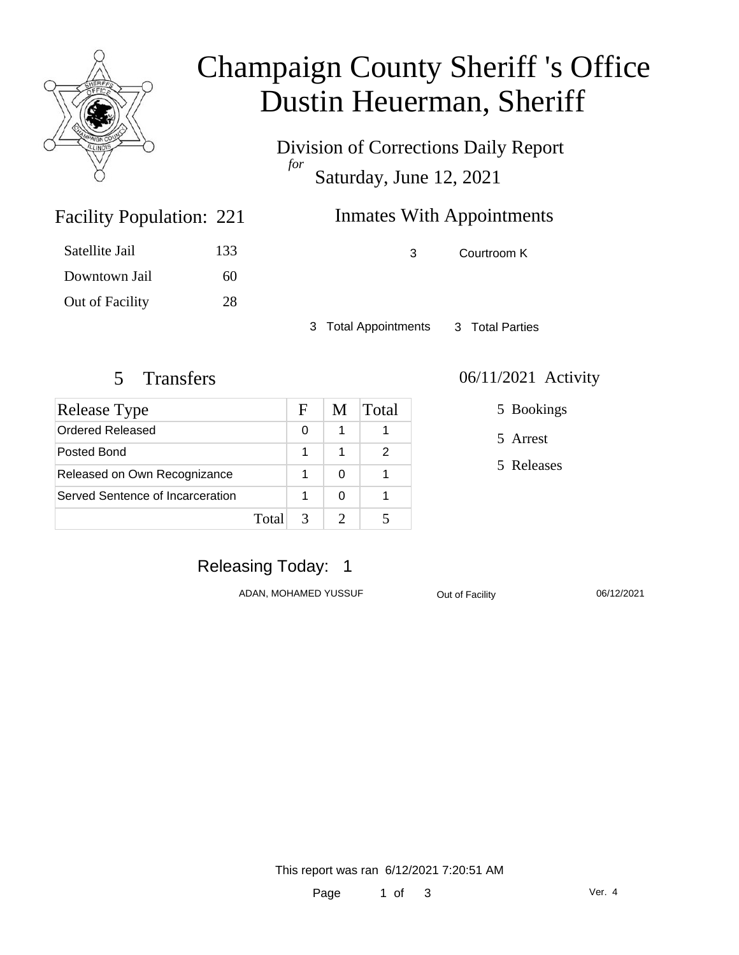

# Champaign County Sheriff 's Office Dustin Heuerman, Sheriff

Division of Corrections Daily Report *for* Saturday, June 12, 2021

# **Inmates With Appointments**

Facility Population: 221

Satellite Jail 133 Downtown Jail 60 Out of Facility 28 3 Courtroom K

3 Total Appointments 3 Total Parties

| Release Type                     |       | F | M | Total |
|----------------------------------|-------|---|---|-------|
| Ordered Released                 |       | 0 |   |       |
| Posted Bond                      |       | 1 |   | 2     |
| Released on Own Recognizance     |       |   |   |       |
| Served Sentence of Incarceration |       |   |   |       |
|                                  | Total |   |   |       |

#### 5 Transfers 06/11/2021 Activity

5 Bookings

5 Arrest

5 Releases

# Releasing Today: 1

ADAN, MOHAMED YUSSUF **Out of Facility** 06/12/2021

This report was ran 6/12/2021 7:20:51 AM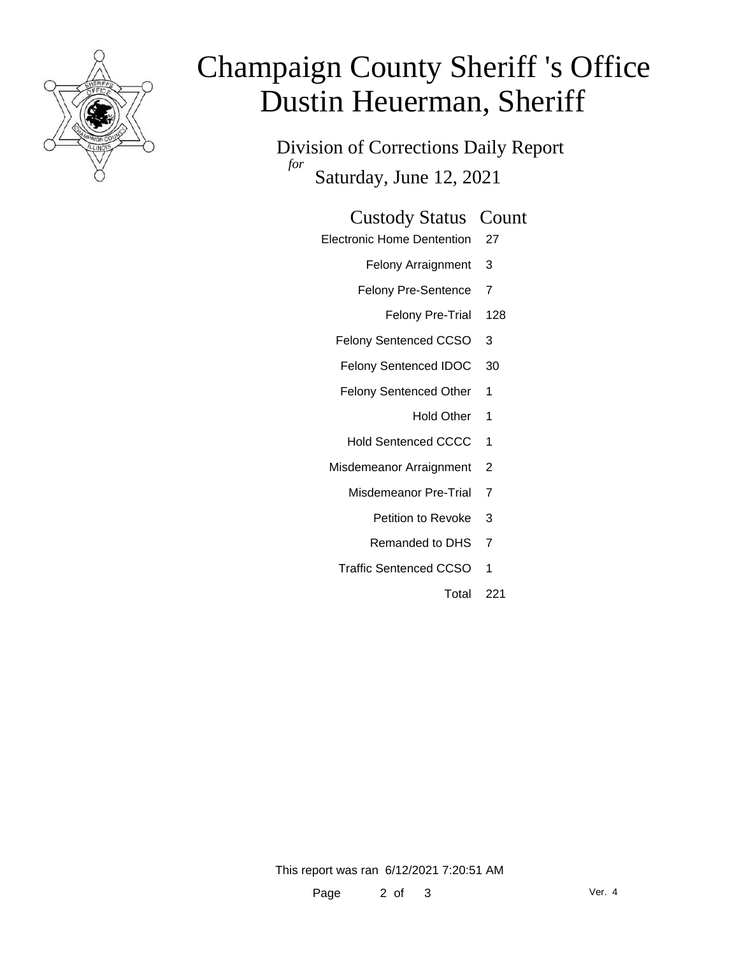

# Champaign County Sheriff 's Office Dustin Heuerman, Sheriff

Division of Corrections Daily Report *for* Saturday, June 12, 2021

#### Custody Status Count

- Electronic Home Dentention 27
	- Felony Arraignment 3
	- Felony Pre-Sentence 7
		- Felony Pre-Trial 128
	- Felony Sentenced CCSO 3
	- Felony Sentenced IDOC 30
	- Felony Sentenced Other 1
		- Hold Other 1
	- Hold Sentenced CCCC 1
	- Misdemeanor Arraignment 2
		- Misdemeanor Pre-Trial 7
			- Petition to Revoke 3
			- Remanded to DHS 7
		- Traffic Sentenced CCSO 1
			- Total 221

This report was ran 6/12/2021 7:20:51 AM